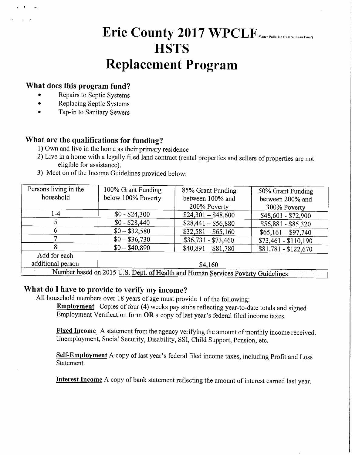Erie County 2017 WPCLF<sub>(Water Pollution Control Loan Fund)</sub>

### **HSTS**

## Replacement Program

#### What does this program fund?

- Repairs to Septic Systems
- Replacing Septic Systems
- Tap-in to Sanitary Sewers

#### What are the qualifications for funding?

- 1) Own and live in the home as their primary residence
- 2) Live in a home with a legally filed land contract (rental properties and sellers of properties are not eligible for assistance).
- 3) Meet on of the Income Guidelines provided below:

| Persons living in the                                                           | 100% Grant Funding | 85% Grant Funding   | 50% Grant Funding    |
|---------------------------------------------------------------------------------|--------------------|---------------------|----------------------|
| household                                                                       | below 100% Poverty | between 100% and    | between 200% and     |
|                                                                                 |                    | 200% Poverty        | 300% Poverty         |
| 1-4                                                                             | $$0 - $24,300$     | $$24,301 - $48,600$ | $$48,601 - $72,900$  |
|                                                                                 | $$0 - $28,440$     | $$28,441 - $56,880$ | $$56,881 - $85,320$  |
| 6                                                                               | $$0 - $32,580$     | $$32,581 - $65,160$ | $$65,161 - $97,740$  |
| 7                                                                               | $$0 - $36,730$     | $$36,731 - $73,460$ | $$73,461 - $110,190$ |
|                                                                                 | $$0 - $40,890$     | $$40,891 - $81,780$ | $$81,781 - $122,670$ |
| Add for each                                                                    |                    |                     |                      |
| additional person                                                               | \$4,160            |                     |                      |
| Number based on 2015 U.S. Dept. of Health and Human Services Poverty Guidelines |                    |                     |                      |

#### What do I have to provide to verify my income?

All household members over 18 years of age must provide 1 of the following:

**Employment** Copies of four (4) weeks pay stubs reflecting year-to-date totals and signed Employment Verification form OR a copy of last year's federal filed income taxes.

Fixed Income A statement from the agency verifying the amount of monthly income received. Unemployment, Social Security, Disability, SSI, Child Support, Pension, etc.

Self-Employment A copy of last year's federal filed income taxes, including Profit and Loss Statement.

Interest Income A copy of bank statement reflecting the amount of interest earned last year.